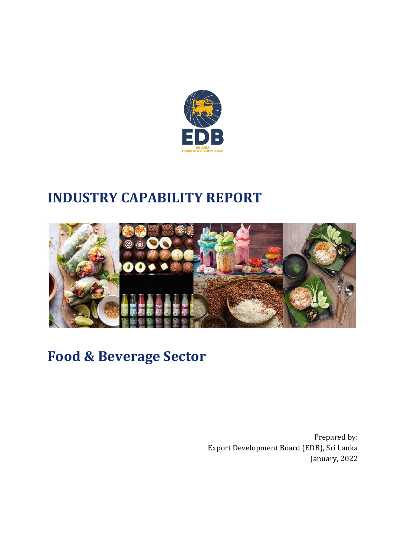

# **INDUSTRY CAPABILITY REPORT**



# **Food & Beverage Sector**

Prepared by: Export Development Board (EDB), Sri Lanka January, 2022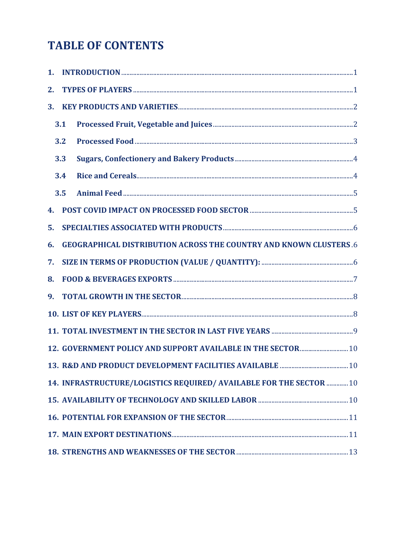# **TABLE OF CONTENTS**

| 2. |     |                                                                           |  |
|----|-----|---------------------------------------------------------------------------|--|
| 3. |     |                                                                           |  |
|    | 3.1 |                                                                           |  |
|    | 3.2 |                                                                           |  |
|    | 3.3 |                                                                           |  |
|    | 3.4 |                                                                           |  |
|    | 3.5 |                                                                           |  |
| 4. |     |                                                                           |  |
| 5. |     |                                                                           |  |
| 6. |     | <b>GEOGRAPHICAL DISTRIBUTION ACROSS THE COUNTRY AND KNOWN CLUSTERS .6</b> |  |
| 7. |     |                                                                           |  |
| 8. |     |                                                                           |  |
| 9. |     |                                                                           |  |
|    |     |                                                                           |  |
|    |     |                                                                           |  |
|    |     | 12. GOVERNMENT POLICY AND SUPPORT AVAILABLE IN THE SECTOR  10             |  |
|    |     |                                                                           |  |
|    |     | 14. INFRASTRUCTURE/LOGISTICS REQUIRED/ AVAILABLE FOR THE SECTOR  10       |  |
|    |     |                                                                           |  |
|    |     |                                                                           |  |
|    |     |                                                                           |  |
|    |     |                                                                           |  |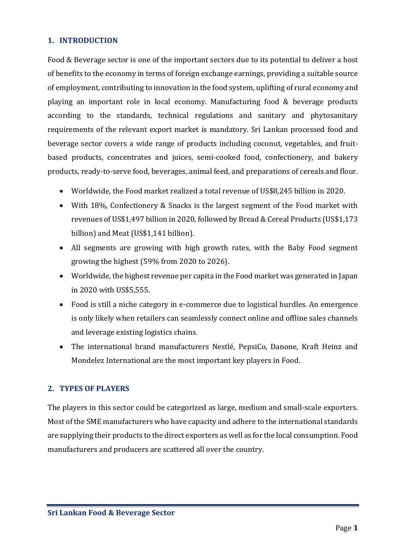# <span id="page-2-0"></span>**1. INTRODUCTION**

Food & Beverage sector is one of the important sectors due to its potential to deliver a host of benefits to the economy in terms of foreign exchange earnings, providing a suitable source of employment, contributing to innovation in the food system, uplifting of rural economy and playing an important role in local economy. Manufacturing food & beverage products according to the standards, technical regulations and sanitary and phytosanitary requirements of the relevant export market is mandatory. Sri Lankan processed food and beverage sector covers a wide range of products including coconut, vegetables, and fruitbased products, concentrates and juices, semi-cooked food, confectionery, and bakery products, ready-to-serve food, beverages, animal feed, and preparations of cereals and flour.

- Worldwide, the Food market realized a total revenue of US\$8,245 billion in 2020.
- With 18%, Confectionery & Snacks is the largest segment of the Food market with revenues of US\$1,497 billion in 2020, followed by Bread & Cereal Products (US\$1,173 billion) and Meat (US\$1,141 billion).
- All segments are growing with high growth rates, with the Baby Food segment growing the highest (59% from 2020 to 2026).
- Worldwide, the highest revenue per capita in the Food market was generated in Japan in 2020 with US\$5,555.
- Food is still a niche category in e-commerce due to logistical hurdles. An emergence is only likely when retailers can seamlessly connect online and offline sales channels and leverage existing logistics chains.
- The international brand manufacturers Nestlé, PepsiCo, Danone, Kraft Heinz and Mondelez International are the most important key players in Food.

#### <span id="page-2-1"></span>**2. TYPES OF PLAYERS**

The players in this sector could be categorized as large, medium and small-scale exporters. Most of the SME manufacturers who have capacity and adhere to the international standards are supplying their products to the direct exporters as well as for the local consumption. Food manufacturers and producers are scattered all over the country.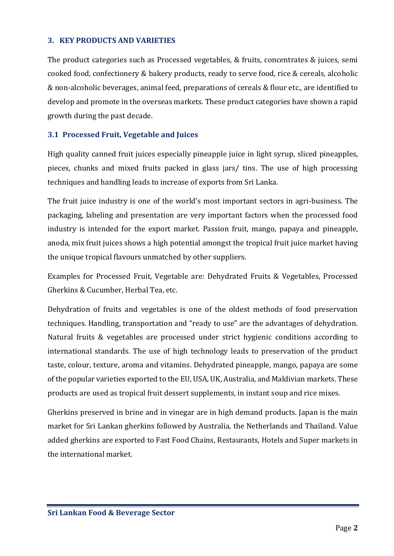### <span id="page-3-0"></span>**3. KEY PRODUCTS AND VARIETIES**

The product categories such as Processed vegetables, & fruits, concentrates & juices, semi cooked food, confectionery & bakery products, ready to serve food, rice & cereals, alcoholic & non‐alcoholic beverages, animal feed, preparations of cereals & flour etc., are identified to develop and promote in the overseas markets. These product categories have shown a rapid growth during the past decade.

# <span id="page-3-1"></span>**3.1 Processed Fruit, Vegetable and Juices**

High quality canned fruit juices especially pineapple juice in light syrup, sliced pineapples, pieces, chunks and mixed fruits packed in glass jars/ tins. The use of high processing techniques and handling leads to increase of exports from Sri Lanka.

The fruit juice industry is one of the world's most important sectors in agri-business. The packaging, labeling and presentation are very important factors when the processed food industry is intended for the export market. Passion fruit, mango, papaya and pineapple, anoda, mix fruit juices shows a high potential amongst the tropical fruit juice market having the unique tropical flavours unmatched by other suppliers.

Examples for Processed Fruit, Vegetable are: Dehydrated Fruits & Vegetables, Processed Gherkins & Cucumber, Herbal Tea, etc.

Dehydration of fruits and vegetables is one of the oldest methods of food preservation techniques. Handling, transportation and "ready to use" are the advantages of dehydration. Natural fruits & vegetables are processed under strict hygienic conditions according to international standards. The use of high technology leads to preservation of the product taste, colour, texture, aroma and vitamins. Dehydrated pineapple, mango, papaya are some of the popular varieties exported to the EU, USA, UK, Australia, and Maldivian markets. These products are used as tropical fruit dessert supplements, in instant soup and rice mixes.

Gherkins preserved in brine and in vinegar are in high demand products. Japan is the main market for Sri Lankan gherkins followed by Australia, the Netherlands and Thailand. Value added gherkins are exported to Fast Food Chains, Restaurants, Hotels and Super markets in the international market.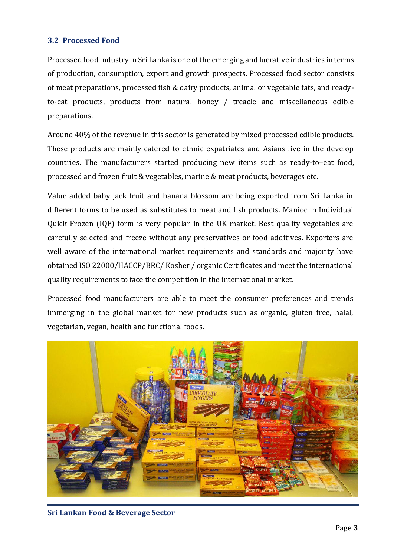# <span id="page-4-0"></span>**3.2 Processed Food**

Processed food industry in Sri Lanka is one of the emerging and lucrative industries in terms of production, consumption, export and growth prospects. Processed food sector consists of meat preparations, processed fish & dairy products, animal or vegetable fats, and readyto-eat products, products from natural honey / treacle and miscellaneous edible preparations.

Around 40% of the revenue in this sector is generated by mixed processed edible products. These products are mainly catered to ethnic expatriates and Asians live in the develop countries. The manufacturers started producing new items such as ready-to–eat food, processed and frozen fruit & vegetables, marine & meat products, beverages etc.

Value added baby jack fruit and banana blossom are being exported from Sri Lanka in different forms to be used as substitutes to meat and fish products. Manioc in Individual Quick Frozen (IQF) form is very popular in the UK market. Best quality vegetables are carefully selected and freeze without any preservatives or food additives. Exporters are well aware of the international market requirements and standards and majority have obtained ISO 22000/HACCP/BRC/ Kosher / organic Certificates and meet the international quality requirements to face the competition in the international market.

Processed food manufacturers are able to meet the consumer preferences and trends immerging in the global market for new products such as organic, gluten free, halal, vegetarian, vegan, health and functional foods.



**Sri Lankan Food & Beverage Sector**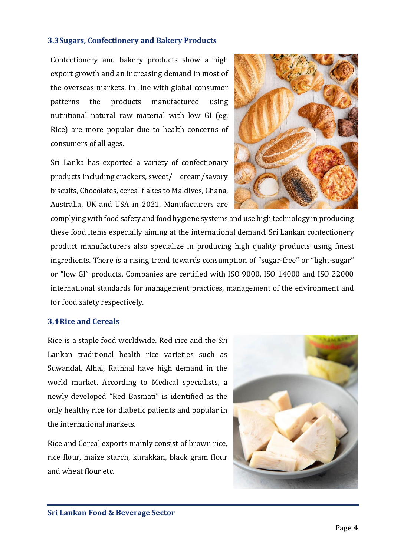#### <span id="page-5-0"></span>**3.3Sugars, Confectionery and Bakery Products**

Confectionery and bakery products show a high export growth and an increasing demand in most of the overseas markets. In line with global consumer patterns the products manufactured using nutritional natural raw material with low GI (eg. Rice) are more popular due to health concerns of consumers of all ages.

Sri Lanka has exported a variety of confectionary products including crackers, sweet/ cream/savory biscuits, Chocolates, cereal flakes to Maldives, Ghana, Australia, UK and USA in 2021. Manufacturers are



complying with food safety and food hygiene systems and use high technology in producing these food items especially aiming at the international demand. Sri Lankan confectionery product manufacturers also specialize in producing high quality products using finest ingredients. There is a rising trend towards consumption of "sugar‐free" or "light‐sugar" or "low GI" products. Companies are certified with ISO 9000, ISO 14000 and ISO 22000 international standards for management practices, management of the environment and for food safety respectively.

#### <span id="page-5-1"></span>**3.4Rice and Cereals**

Rice is a staple food worldwide. Red rice and the Sri Lankan traditional health rice varieties such as Suwandal, Alhal, Rathhal have high demand in the world market. According to Medical specialists, a newly developed "Red Basmati" is identified as the only healthy rice for diabetic patients and popular in the international markets.

Rice and Cereal exports mainly consist of brown rice, rice flour, maize starch, kurakkan, black gram flour and wheat flour etc.

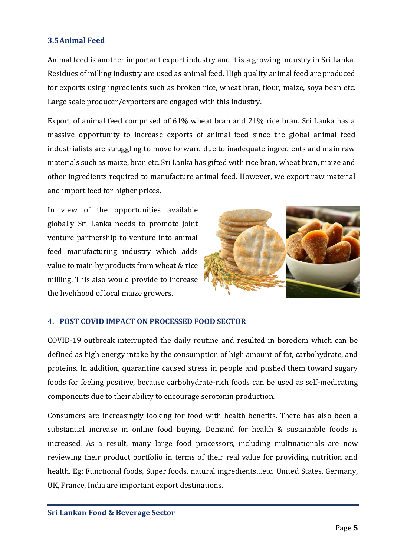# <span id="page-6-0"></span>**3.5Animal Feed**

Animal feed is another important export industry and it is a growing industry in Sri Lanka. Residues of milling industry are used as animal feed. High quality animal feed are produced for exports using ingredients such as broken rice, wheat bran, flour, maize, soya bean etc. Large scale producer/exporters are engaged with this industry.

Export of animal feed comprised of 61% wheat bran and 21% rice bran. Sri Lanka has a massive opportunity to increase exports of animal feed since the global animal feed industrialists are struggling to move forward due to inadequate ingredients and main raw materials such as maize, bran etc. Sri Lanka has gifted with rice bran, wheat bran, maize and other ingredients required to manufacture animal feed. However, we export raw material and import feed for higher prices.

In view of the opportunities available globally Sri Lanka needs to promote joint venture partnership to venture into animal feed manufacturing industry which adds value to main by products from wheat & rice milling. This also would provide to increase the livelihood of local maize growers.



#### <span id="page-6-1"></span>**4. POST COVID IMPACT ON PROCESSED FOOD SECTOR**

COVID-19 outbreak interrupted the daily routine and resulted in boredom which can be defined as high energy intake by the consumption of high amount of fat, carbohydrate, and proteins. In addition, quarantine caused stress in people and pushed them toward sugary foods for feeling positive, because carbohydrate-rich foods can be used as self-medicating components due to their ability to encourage serotonin production.

Consumers are increasingly looking for food with health benefits. There has also been a substantial increase in online food buying. Demand for health & sustainable foods is increased. As a result, many large food processors, including multinationals are now reviewing their product portfolio in terms of their real value for providing nutrition and health. Eg: Functional foods, Super foods, natural ingredients…etc. United States, Germany, UK, France, India are important export destinations.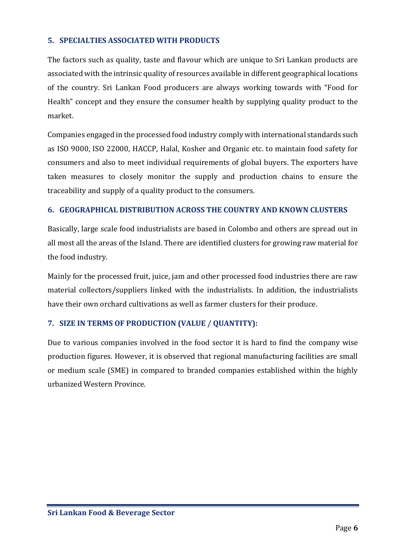# <span id="page-7-0"></span>**5. SPECIALTIES ASSOCIATED WITH PRODUCTS**

The factors such as quality, taste and flavour which are unique to Sri Lankan products are associated with the intrinsic quality of resources available in different geographical locations of the country. Sri Lankan Food producers are always working towards with "Food for Health" concept and they ensure the consumer health by supplying quality product to the market.

Companies engaged in the processed food industry comply with international standards such as ISO 9000, ISO 22000, HACCP, Halal, Kosher and Organic etc. to maintain food safety for consumers and also to meet individual requirements of global buyers. The exporters have taken measures to closely monitor the supply and production chains to ensure the traceability and supply of a quality product to the consumers.

# <span id="page-7-1"></span>**6. GEOGRAPHICAL DISTRIBUTION ACROSS THE COUNTRY AND KNOWN CLUSTERS**

Basically, large scale food industrialists are based in Colombo and others are spread out in all most all the areas of the Island. There are identified clusters for growing raw material for the food industry.

Mainly for the processed fruit, juice, jam and other processed food industries there are raw material collectors/suppliers linked with the industrialists. In addition, the industrialists have their own orchard cultivations as well as farmer clusters for their produce.

# <span id="page-7-2"></span>**7. SIZE IN TERMS OF PRODUCTION (VALUE / QUANTITY):**

Due to various companies involved in the food sector it is hard to find the company wise production figures. However, it is observed that regional manufacturing facilities are small or medium scale (SME) in compared to branded companies established within the highly urbanized Western Province.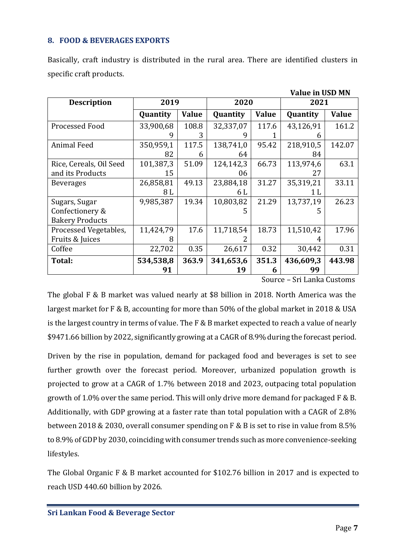#### <span id="page-8-0"></span>**8. FOOD & BEVERAGES EXPORTS**

|                         |           |              |           |              | <b>Value in USD MN</b> |        |
|-------------------------|-----------|--------------|-----------|--------------|------------------------|--------|
| <b>Description</b>      | 2019      |              | 2020      |              | 2021                   |        |
|                         | Quantity  | <b>Value</b> | Quantity  | <b>Value</b> | Quantity               | Value  |
| Processed Food          | 33,900,68 | 108.8        | 32,337,07 | 117.6        | 43,126,91              | 161.2  |
|                         | q         | 3            | 9         |              | h                      |        |
| <b>Animal Feed</b>      | 350,959,1 | 117.5        | 138,741,0 | 95.42        | 218,910,5              | 142.07 |
|                         | 82        | 6            | 64        |              | 84                     |        |
| Rice, Cereals, Oil Seed | 101,387,3 | 51.09        | 124,142,3 | 66.73        | 113,974,6              | 63.1   |
| and its Products        | 15        |              | 06        |              | 27                     |        |
| <b>Beverages</b>        | 26,858,81 | 49.13        | 23,884,18 | 31.27        | 35,319,21              | 33.11  |
|                         | 8 L       |              | 6 L       |              | 1 L                    |        |
| Sugars, Sugar           | 9,985,387 | 19.34        | 10,803,82 | 21.29        | 13,737,19              | 26.23  |
| Confectionery &         |           |              | 5         |              | 5                      |        |
| <b>Bakery Products</b>  |           |              |           |              |                        |        |
| Processed Vegetables,   | 11,424,79 | 17.6         | 11,718,54 | 18.73        | 11,510,42              | 17.96  |
| Fruits & Juices         | 8         |              |           |              |                        |        |
| Coffee                  | 22,702    | 0.35         | 26,617    | 0.32         | 30,442                 | 0.31   |
| Total:                  | 534,538,8 | 363.9        | 341,653,6 | 351.3        | 436,609,3              | 443.98 |
|                         | 91        |              | 19        | 6            | 99                     |        |

Basically, craft industry is distributed in the rural area. There are identified clusters in specific craft products.

#### Source – Sri Lanka Customs

The global F & B market was valued nearly at \$8 billion in 2018. North America was the largest market for F & B, accounting for more than 50% of the global market in 2018 & USA is the largest country in terms of value. The F & B market expected to reach a value of nearly \$9471.66 billion by 2022, significantly growing at a CAGR of 8.9% during the forecast period.

Driven by the rise in population, demand for packaged food and beverages is set to see further growth over the forecast period. Moreover, urbanized population growth is projected to grow at a CAGR of 1.7% between 2018 and 2023, outpacing total population growth of 1.0% over the same period. This will only drive more demand for packaged F & B. Additionally, with GDP growing at a faster rate than total population with a CAGR of 2.8% between 2018 & 2030, overall consumer spending on F & B is set to rise in value from 8.5% to 8.9% of GDP by 2030, coinciding with consumer trends such as more convenience-seeking lifestyles.

The Global Organic F & B market accounted for \$102.76 billion in 2017 and is expected to reach USD 440.60 billion by 2026.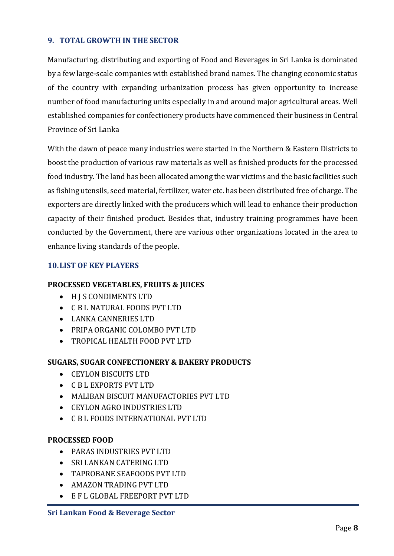# <span id="page-9-0"></span>**9. TOTAL GROWTH IN THE SECTOR**

Manufacturing, distributing and exporting of Food and Beverages in Sri Lanka is dominated by a few large-scale companies with established brand names. The changing economic status of the country with expanding urbanization process has given opportunity to increase number of food manufacturing units especially in and around major agricultural areas. Well established companies for confectionery products have commenced their business in Central Province of Sri Lanka

With the dawn of peace many industries were started in the Northern & Eastern Districts to boost the production of various raw materials as well as finished products for the processed food industry. The land has been allocated among the war victims and the basic facilities such as fishing utensils, seed material, fertilizer, water etc. has been distributed free of charge. The exporters are directly linked with the producers which will lead to enhance their production capacity of their finished product. Besides that, industry training programmes have been conducted by the Government, there are various other organizations located in the area to enhance living standards of the people.

# <span id="page-9-1"></span>**10.LIST OF KEY PLAYERS**

#### **PROCESSED VEGETABLES, FRUITS & JUICES**

- H J S CONDIMENTS LTD
- C B L NATURAL FOODS PVT LTD
- LANKA CANNERIES LTD
- PRIPA ORGANIC COLOMBO PVT LTD
- TROPICAL HEALTH FOOD PVT LTD

# **SUGARS, SUGAR CONFECTIONERY & BAKERY PRODUCTS**

- CEYLON BISCUITS LTD
- C B L EXPORTS PVT LTD
- MALIBAN BISCUIT MANUFACTORIES PVT LTD
- CEYLON AGRO INDUSTRIES LTD
- C B L FOODS INTERNATIONAL PVT LTD

#### **PROCESSED FOOD**

- PARAS INDUSTRIES PVT LTD
- SRI LANKAN CATERING LTD
- TAPROBANE SEAFOODS PVT LTD
- AMAZON TRADING PVT LTD
- E F L GLOBAL FREEPORT PVT LTD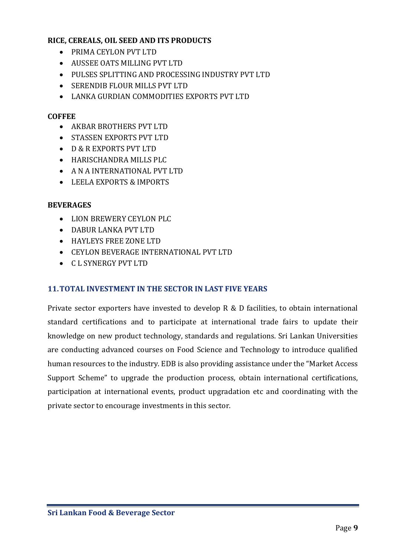# **RICE, CEREALS, OIL SEED AND ITS PRODUCTS**

- PRIMA CEYLON PVT LTD
- AUSSEE OATS MILLING PVT LTD
- PULSES SPLITTING AND PROCESSING INDUSTRY PVT LTD
- SERENDIB FLOUR MILLS PVT LTD
- LANKA GURDIAN COMMODITIES EXPORTS PVT LTD

### **COFFEE**

- AKBAR BROTHERS PVT LTD
- STASSEN EXPORTS PVT LTD
- D & R EXPORTS PVT LTD
- HARISCHANDRA MILLS PLC
- A N A INTERNATIONAL PVT LTD
- LEELA EXPORTS & IMPORTS

# **BEVERAGES**

- LION BREWERY CEYLON PLC
- DABUR LANKA PVT LTD
- HAYLEYS FREE ZONE LTD
- CEYLON BEVERAGE INTERNATIONAL PVT LTD
- C L SYNERGY PVT LTD

# <span id="page-10-0"></span>**11.TOTAL INVESTMENT IN THE SECTOR IN LAST FIVE YEARS**

Private sector exporters have invested to develop R & D facilities, to obtain international standard certifications and to participate at international trade fairs to update their knowledge on new product technology, standards and regulations. Sri Lankan Universities are conducting advanced courses on Food Science and Technology to introduce qualified human resources to the industry. EDB is also providing assistance under the "Market Access Support Scheme" to upgrade the production process, obtain international certifications, participation at international events, product upgradation etc and coordinating with the private sector to encourage investments in this sector.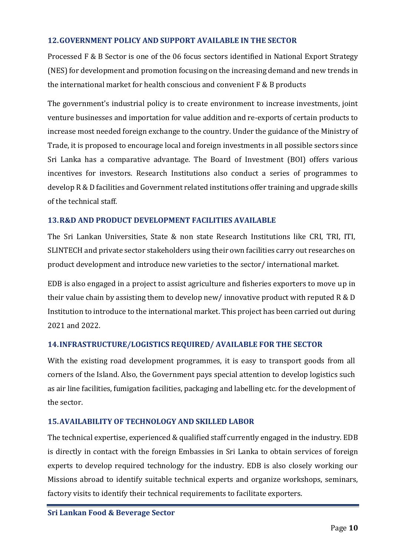# <span id="page-11-0"></span>**12.GOVERNMENT POLICY AND SUPPORT AVAILABLE IN THE SECTOR**

Processed F & B Sector is one of the 06 focus sectors identified in National Export Strategy (NES) for development and promotion focusing on the increasing demand and new trends in the international market for health conscious and convenient F & B products

The government's industrial policy is to create environment to increase investments, joint venture businesses and importation for value addition and re-exports of certain products to increase most needed foreign exchange to the country. Under the guidance of the Ministry of Trade, it is proposed to encourage local and foreign investments in all possible sectors since Sri Lanka has a comparative advantage. The Board of Investment (BOI) offers various incentives for investors. Research Institutions also conduct a series of programmes to develop R & D facilities and Government related institutions offer training and upgrade skills of the technical staff.

# <span id="page-11-1"></span>**13.R&D AND PRODUCT DEVELOPMENT FACILITIES AVAILABLE**

The Sri Lankan Universities, State & non state Research Institutions like CRI, TRI, ITI, SLINTECH and private sector stakeholders using their own facilities carry out researches on product development and introduce new varieties to the sector/ international market.

EDB is also engaged in a project to assist agriculture and fisheries exporters to move up in their value chain by assisting them to develop new/ innovative product with reputed R & D Institution to introduce to the international market. This project has been carried out during 2021 and 2022.

# <span id="page-11-2"></span>**14.INFRASTRUCTURE/LOGISTICS REQUIRED/ AVAILABLE FOR THE SECTOR**

With the existing road development programmes, it is easy to transport goods from all corners of the Island. Also, the Government pays special attention to develop logistics such as air line facilities, fumigation facilities, packaging and labelling etc. for the development of the sector.

#### <span id="page-11-3"></span>**15.AVAILABILITY OF TECHNOLOGY AND SKILLED LABOR**

The technical expertise, experienced & qualified staff currently engaged in the industry. EDB is directly in contact with the foreign Embassies in Sri Lanka to obtain services of foreign experts to develop required technology for the industry. EDB is also closely working our Missions abroad to identify suitable technical experts and organize workshops, seminars, factory visits to identify their technical requirements to facilitate exporters.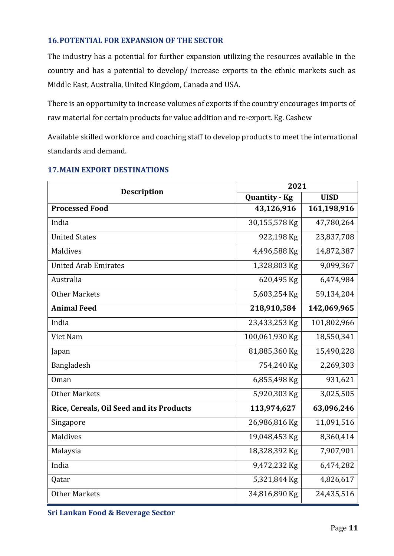# <span id="page-12-0"></span>**16.POTENTIAL FOR EXPANSION OF THE SECTOR**

The industry has a potential for further expansion utilizing the resources available in the country and has a potential to develop/ increase exports to the ethnic markets such as Middle East, Australia, United Kingdom, Canada and USA.

There is an opportunity to increase volumes of exports if the country encourages imports of raw material for certain products for value addition and re-export. Eg. Cashew

Available skilled workforce and coaching staff to develop products to meet the international standards and demand.

| <b>Description</b>                       | 2021           |             |  |  |
|------------------------------------------|----------------|-------------|--|--|
|                                          | Quantity - Kg  | <b>UISD</b> |  |  |
| <b>Processed Food</b>                    | 43,126,916     | 161,198,916 |  |  |
| India                                    | 30,155,578 Kg  | 47,780,264  |  |  |
| <b>United States</b>                     | 922,198 Kg     | 23,837,708  |  |  |
| Maldives                                 | 4,496,588 Kg   | 14,872,387  |  |  |
| <b>United Arab Emirates</b>              | 1,328,803 Kg   | 9,099,367   |  |  |
| Australia                                | 620,495 Kg     | 6,474,984   |  |  |
| <b>Other Markets</b>                     | 5,603,254 Kg   | 59,134,204  |  |  |
| <b>Animal Feed</b>                       | 218,910,584    | 142,069,965 |  |  |
| India                                    | 23,433,253 Kg  | 101,802,966 |  |  |
| Viet Nam                                 | 100,061,930 Kg | 18,550,341  |  |  |
| Japan                                    | 81,885,360 Kg  | 15,490,228  |  |  |
| Bangladesh                               | 754,240 Kg     | 2,269,303   |  |  |
| Oman                                     | 6,855,498 Kg   | 931,621     |  |  |
| <b>Other Markets</b>                     | 5,920,303 Kg   | 3,025,505   |  |  |
| Rice, Cereals, Oil Seed and its Products | 113,974,627    | 63,096,246  |  |  |
| Singapore                                | 26,986,816 Kg  | 11,091,516  |  |  |
| Maldives                                 | 19,048,453 Kg  | 8,360,414   |  |  |
| Malaysia                                 | 18,328,392 Kg  | 7,907,901   |  |  |
| India                                    | 9,472,232 Kg   | 6,474,282   |  |  |
| Qatar                                    | 5,321,844 Kg   | 4,826,617   |  |  |
| <b>Other Markets</b>                     | 34,816,890 Kg  | 24,435,516  |  |  |

# <span id="page-12-1"></span>**17.MAIN EXPORT DESTINATIONS**

**Sri Lankan Food & Beverage Sector**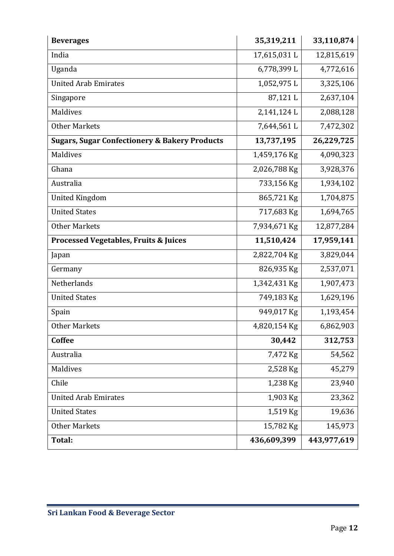| <b>Beverages</b>                                         | 35,319,211   | 33,110,874  |
|----------------------------------------------------------|--------------|-------------|
| India                                                    | 17,615,031L  | 12,815,619  |
| Uganda                                                   | 6,778,399L   | 4,772,616   |
| <b>United Arab Emirates</b>                              | 1,052,975L   | 3,325,106   |
| Singapore                                                | 87,121L      | 2,637,104   |
| Maldives                                                 | 2,141,124L   | 2,088,128   |
| <b>Other Markets</b>                                     | 7,644,561L   | 7,472,302   |
| <b>Sugars, Sugar Confectionery &amp; Bakery Products</b> | 13,737,195   | 26,229,725  |
| Maldives                                                 | 1,459,176 Kg | 4,090,323   |
| Ghana                                                    | 2,026,788 Kg | 3,928,376   |
| Australia                                                | 733,156 Kg   | 1,934,102   |
| <b>United Kingdom</b>                                    | 865,721 Kg   | 1,704,875   |
| <b>United States</b>                                     | 717,683 Kg   | 1,694,765   |
| <b>Other Markets</b>                                     | 7,934,671 Kg | 12,877,284  |
| <b>Processed Vegetables, Fruits &amp; Juices</b>         | 11,510,424   | 17,959,141  |
| Japan                                                    | 2,822,704 Kg | 3,829,044   |
| Germany                                                  | 826,935 Kg   | 2,537,071   |
| Netherlands                                              | 1,342,431 Kg | 1,907,473   |
| <b>United States</b>                                     | 749,183 Kg   | 1,629,196   |
| Spain                                                    | 949,017 Kg   | 1,193,454   |
| <b>Other Markets</b>                                     | 4,820,154 Kg | 6,862,903   |
| <b>Coffee</b>                                            | 30,442       | 312,753     |
| Australia                                                | 7,472 Kg     | 54,562      |
| Maldives                                                 | 2,528 Kg     | 45,279      |
| Chile                                                    | 1,238 Kg     | 23,940      |
| <b>United Arab Emirates</b>                              | 1,903 Kg     | 23,362      |
| <b>United States</b>                                     | 1,519 Kg     | 19,636      |
| <b>Other Markets</b>                                     | 15,782 Kg    | 145,973     |
| <b>Total:</b>                                            | 436,609,399  | 443,977,619 |